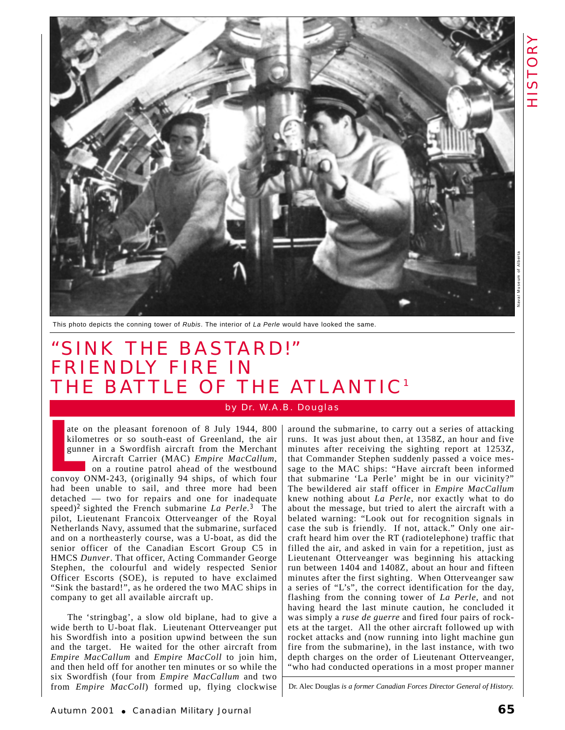

This photo depicts the conning tower of Rubis. The interior of La Perle would have looked the same.

## "SINK THE BASTARD!" FRIENDLY FIRE IN THE BATTLE OF THE ATLANTIC<sup>1</sup>

## by Dr. W.A.B. Douglas

ate on the pleasant forenoon of 8 July 1944, 800 kilometres or so south-east of Greenland, the air gunner in a Swordfish aircraft from the Merchant Aircraft Carrier (MAC) *Empire MacCallum*, on a routine patrol ahead of the westbound ate on the pleasant forenoon of 8 July 1944, 800<br>kilometres or so south-east of Greenland, the air<br>gunner in a Swordfish aircraft from the Merchant<br>Aircraft Carrier (MAC) *Empire MacCallum*,<br>on a routine patrol ahead of th had been unable to sail, and three more had been detached — two for repairs and one for inadequate speed)2 sighted the French submarine *La Perle.*<sup>3</sup> The pilot, Lieutenant Francoix Otterveanger of the Royal Netherlands Navy, assumed that the submarine*,* surfaced and on a northeasterly course, was a U-boat, as did the senior officer of the Canadian Escort Group C5 in HMCS *Dunver*. That officer, Acting Commander George Stephen, the colourful and widely respected Senior Officer Escorts (SOE), is reputed to have exclaimed "Sink the bastard!", as he ordered the two MAC ships in company to get all available aircraft up.

The 'stringbag', a slow old biplane, had to give a wide berth to U-boat flak. Lieutenant Otterveanger put his Swordfish into a position upwind between the sun and the target. He waited for the other aircraft from *Empire MacCallum* and *Empire MacColl* to join him, and then held off for another ten minutes or so while the six Swordfish (four from *Empire MacCallum* and two from *Empire MacColl*) formed up, flying clockwise around the submarine, to carry out a series of attacking runs. It was just about then, at 1358Z, an hour and five minutes after receiving the sighting report at 1253Z, that Commander Stephen suddenly passed a voice message to the MAC ships: "Have aircraft been informed that submarine 'La Perle' might be in our vicinity?" The bewildered air staff officer in *Empire MacCallum* knew nothing about *La Perle*, nor exactly what to do about the message, but tried to alert the aircraft with a belated warning: "Look out for recognition signals in case the sub is friendly. If not, attack." Only one aircraft heard him over the RT (radiotelephone) traffic that filled the air, and asked in vain for a repetition, just as Lieutenant Otterveanger was beginning his attacking run between 1404 and 1408Z, about an hour and fifteen minutes after the first sighting. When Otterveanger saw a series of "L's", the correct identification for the day, flashing from the conning tower of *La Perle*, and not having heard the last minute caution, he concluded it was simply a *ruse de guerre* and fired four pairs of rockets at the target. All the other aircraft followed up with rocket attacks and (now running into light machine gun fire from the submarine), in the last instance, with two depth charges on the order of Lieutenant Otterveanger, "who had conducted operations in a most proper manner

Dr. Alec Douglas *is a former Canadian Forces Director General of History.*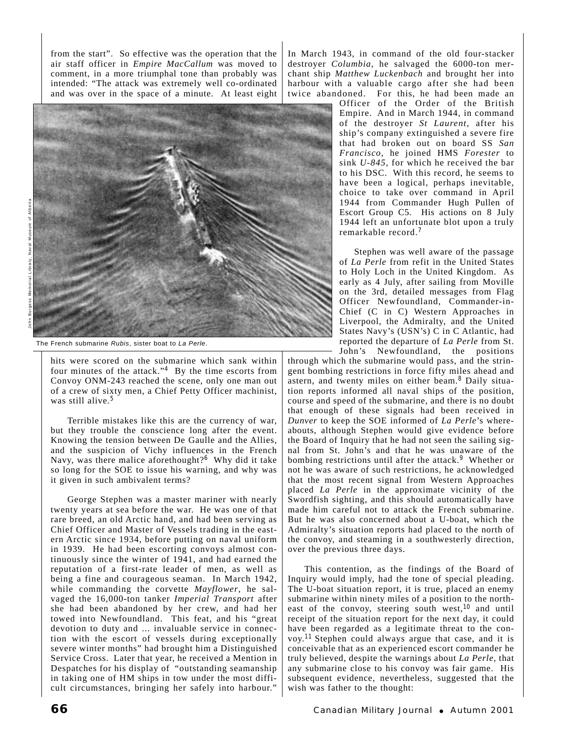from the start". So effective was the operation that the air staff officer in *Empire MacCallum* was moved to comment, in a more triumphal tone than probably was intended: "The attack was extremely well co-ordinated and was over in the space of a minute. At least eight



The French submarine Rubis, sister boat to La Perle.

hits were scored on the submarine which sank within four minutes of the attack."<sup>4</sup> By the time escorts from Convoy ONM-243 reached the scene, only one man out of a crew of sixty men, a Chief Petty Officer machinist, was still alive.<sup>5</sup>

Terrible mistakes like this are the currency of war, but they trouble the conscience long after the event. Knowing the tension between De Gaulle and the Allies, and the suspicion of Vichy influences in the French Navy, was there malice aforethought?<sup>6</sup> Why did it take so long for the SOE to issue his warning, and why was it given in such ambivalent terms?

George Stephen was a master mariner with nearly twenty years at sea before the war. He was one of that rare breed, an old Arctic hand, and had been serving as Chief Officer and Master of Vessels trading in the eastern Arctic since 1934, before putting on naval uniform in 1939. He had been escorting convoys almost continuously since the winter of 1941, and had earned the reputation of a first-rate leader of men, as well as being a fine and courageous seaman. In March 1942, while commanding the corvette *Mayflower*, he salvaged the 16,000-ton tanker *Imperial Transport* after she had been abandoned by her crew, and had her towed into Newfoundland. This feat, and his "great devotion to duty and ... invaluable service in connection with the escort of vessels during exceptionally severe winter months" had brought him a Distinguished Service Cross. Later that year, he received a Mention in Despatches for his display of "outstanding seamanship in taking one of HM ships in tow under the most difficult circumstances, bringing her safely into harbour."

In March 1943, in command of the old four-stacker destroyer *Columbia*, he salvaged the 6000-ton merchant ship *Matthew Luckenbach* and brought her into harbour with a valuable cargo after she had been twice abandoned. For this, he had been made an

Officer of the Order of the British Empire. And in March 1944, in command of the destroyer *St Laurent*, after his ship's company extinguished a severe fire that had broken out on board SS *San Francisco*, he joined HMS *Forester* to sink *U-845*, for which he received the bar to his DSC. With this record, he seems to have been a logical, perhaps inevitable, choice to take over command in April 1944 from Commander Hugh Pullen of Escort Group C5. His actions on 8 July 1944 left an unfortunate blot upon a truly remarkable record.<sup>7</sup>

Stephen was well aware of the passage of *La Perle* from refit in the United States to Holy Loch in the United Kingdom. As early as 4 July, after sailing from Moville on the 3rd, detailed messages from Flag Officer Newfoundland, Commander-in-Chief (C in C) Western Approaches in Liverpool, the Admiralty, and the United States Navy's (USN's) C in C Atlantic, had reported the departure of *La Perle* from St. John's Newfoundland, the positions

through which the submarine would pass, and the stringent bombing restrictions in force fifty miles ahead and astern, and twenty miles on either beam.<sup>8</sup> Daily situation reports informed all naval ships of the position, course and speed of the submarine, and there is no doubt that enough of these signals had been received in *Dunver* to keep the SOE informed of *La Perle*'s whereabouts, although Stephen would give evidence before the Board of Inquiry that he had not seen the sailing signal from St. John's and that he was unaware of the bombing restrictions until after the attack.<sup>9</sup> Whether or not he was aware of such restrictions, he acknowledged that the most recent signal from Western Approaches placed *La Perle* in the approximate vicinity of the Swordfish sighting, and this should automatically have made him careful not to attack the French submarine. But he was also concerned about a U-boat, which the Admiralty's situation reports had placed to the north of the convoy, and steaming in a southwesterly direction, over the previous three days.

This contention, as the findings of the Board of Inquiry would imply, had the tone of special pleading. The U-boat situation report, it is true, placed an enemy submarine within ninety miles of a position to the northeast of the convoy, steering south west,<sup>10</sup> and until receipt of the situation report for the next day, it could have been regarded as a legitimate threat to the convoy.11 Stephen could always argue that case, and it is conceivable that as an experienced escort commander he truly believed, despite the warnings about *La Perle*, that any submarine close to his convoy was fair game. His subsequent evidence, nevertheless, suggested that the wish was father to the thought: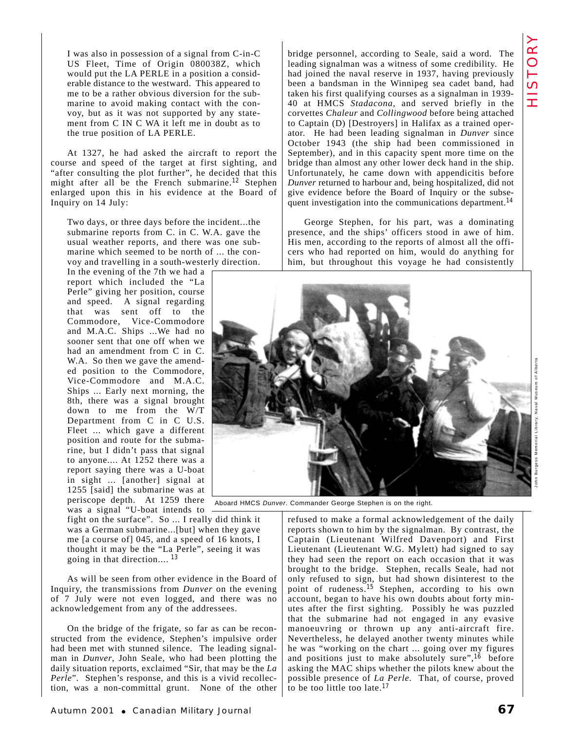I was also in possession of a signal from C-in-C US Fleet, Time of Origin 080038Z, which would put the LA PERLE in a position a considerable distance to the westward. This appeared to me to be a rather obvious diversion for the submarine to avoid making contact with the convoy, but as it was not supported by any statement from C IN C WA it left me in doubt as to the true position of LA PERLE.

At 1327, he had asked the aircraft to report the course and speed of the target at first sighting, and "after consulting the plot further", he decided that this might after all be the French submarine.<sup>12</sup> Stephen enlarged upon this in his evidence at the Board of Inquiry on 14 July:

Two days, or three days before the incident...the submarine reports from C. in C. W.A. gave the usual weather reports, and there was one submarine which seemed to be north of ... the convoy and travelling in a south-westerly direction.

In the evening of the 7th we had a report which included the "La Perle" giving her position, course and speed. A signal regarding that was sent off to the Commodore, Vice-Commodore and M.A.C. Ships ...We had no sooner sent that one off when we had an amendment from C in C. W.A. So then we gave the amended position to the Commodore, Vice-Commodore and M.A.C. Ships ... Early next morning, the 8th, there was a signal brought down to me from the W/T Department from C in C U.S. Fleet ... which gave a different position and route for the submarine, but I didn't pass that signal to anyone.... At 1252 there was a report saying there was a U-boat in sight ... [another] signal at 1255 [said] the submarine was at periscope depth. At 1259 there was a signal "U-boat intends to

fight on the surface". So ... I really did think it was a German submarine...[but] when they gave me [a course of] 045, and a speed of 16 knots, I thought it may be the "La Perle", seeing it was going in that direction.... <sup>13</sup>

As will be seen from other evidence in the Board of Inquiry, the transmissions from *Dunver* on the evening of 7 July were not even logged, and there was no acknowledgement from any of the addressees.

On the bridge of the frigate, so far as can be reconstructed from the evidence, Stephen's impulsive order had been met with stunned silence. The leading signalman in *Dunver*, John Seale, who had been plotting the daily situation reports, exclaimed "Sir, that may be the *La Perle*". Stephen's response, and this is a vivid recollection, was a non-committal grunt. None of the other bridge personnel, according to Seale, said a word. The leading signalman was a witness of some credibility. He had joined the naval reserve in 1937, having previously been a bandsman in the Winnipeg sea cadet band, had taken his first qualifying courses as a signalman in 1939- 40 at HMCS *Stadacona*, and served briefly in the corvettes *Chaleur* and *Collingwood* before being attached to Captain (D) [Destroyers] in Halifax as a trained operator. He had been leading signalman in *Dunver* since October 1943 (the ship had been commissioned in September), and in this capacity spent more time on the bridge than almost any other lower deck hand in the ship. Unfortunately, he came down with appendicitis before *Dunver* returned to harbour and, being hospitalized, did not give evidence before the Board of Inquiry or the subsequent investigation into the communications department.<sup>14</sup>

George Stephen, for his part, was a dominating presence, and the ships' officers stood in awe of him. His men, according to the reports of almost all the officers who had reported on him, would do anything for him, but throughout this voyage he had consistently



HISTORY HISTORY

Aboard HMCS Dunver. Commander George Stephen is on the right.

refused to make a formal acknowledgement of the daily reports shown to him by the signalman. By contrast, the Captain (Lieutenant Wilfred Davenport) and First Lieutenant (Lieutenant W.G. Mylett) had signed to say they had seen the report on each occasion that it was brought to the bridge. Stephen, recalls Seale, had not only refused to sign, but had shown disinterest to the point of rudeness.<sup>15</sup> Stephen, according to his own account, began to have his own doubts about forty minutes after the first sighting. Possibly he was puzzled that the submarine had not engaged in any evasive manoeuvring or thrown up any anti-aircraft fire. Nevertheless, he delayed another twenty minutes while he was "working on the chart ... going over my figures and positions just to make absolutely sure",<sup>16</sup> before asking the MAC ships whether the pilots knew about the possible presence of *La Perle.* That, of course, proved to be too little too late.<sup>17</sup>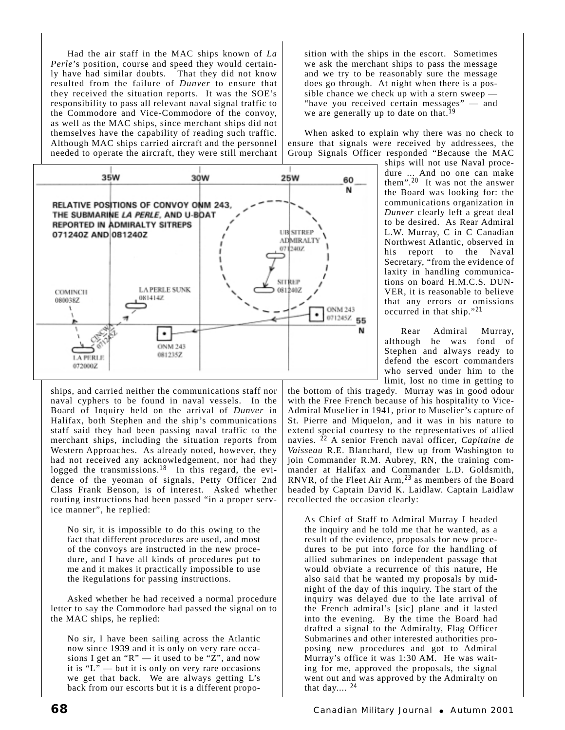Had the air staff in the MAC ships known of *La Perle*'s position, course and speed they would certainly have had similar doubts. That they did not know resulted from the failure of *Dunver* to ensure that they received the situation reports. It was the SOE's responsibility to pass all relevant naval signal traffic to the Commodore and Vice-Commodore of the convoy, as well as the MAC ships, since merchant ships did not themselves have the capability of reading such traffic. Although MAC ships carried aircraft and the personnel needed to operate the aircraft, they were still merchant



ships, and carried neither the communications staff nor naval cyphers to be found in naval vessels. In the Board of Inquiry held on the arrival of *Dunver* in Halifax, both Stephen and the ship's communications staff said they had been passing naval traffic to the merchant ships, including the situation reports from Western Approaches. As already noted, however, they had not received any acknowledgement, nor had they logged the transmissions.<sup>18</sup> In this regard, the evidence of the yeoman of signals, Petty Officer 2nd Class Frank Benson, is of interest. Asked whether routing instructions had been passed "in a proper service manner", he replied:

No sir, it is impossible to do this owing to the fact that different procedures are used, and most of the convoys are instructed in the new procedure, and I have all kinds of procedures put to me and it makes it practically impossible to use the Regulations for passing instructions.

Asked whether he had received a normal procedure letter to say the Commodore had passed the signal on to the MAC ships, he replied:

No sir, I have been sailing across the Atlantic now since 1939 and it is only on very rare occasions I get an " $R$ " — it used to be "Z", and now it is "L" — but it is only on very rare occasions we get that back. We are always getting L's back from our escorts but it is a different proposition with the ships in the escort. Sometimes we ask the merchant ships to pass the message and we try to be reasonably sure the message does go through. At night when there is a possible chance we check up with a stern sweep — "have you received certain messages" — and we are generally up to date on that.<sup>19</sup>

When asked to explain why there was no check to ensure that signals were received by addressees, the Group Signals Officer responded "Because the MAC

> ships will not use Naval procedure ... And no one can make them".<sup>20</sup> It was not the answer the Board was looking for: the communications organization in *Dunver* clearly left a great deal to be desired. As Rear Admiral L.W. Murray, C in C Canadian Northwest Atlantic, observed in his report to the Naval Secretary, "from the evidence of laxity in handling communications on board H.M.C.S. DUN-VER, it is reasonable to believe that any errors or omissions occurred in that ship."<sup>21</sup>

> Rear Admiral Murray, although he was fond of Stephen and always ready to defend the escort commanders who served under him to the limit, lost no time in getting to

the bottom of this tragedy. Murray was in good odour with the Free French because of his hospitality to Vice-Admiral Muselier in 1941, prior to Muselier's capture of St. Pierre and Miquelon, and it was in his nature to extend special courtesy to the representatives of allied navies. <sup>22</sup> A senior French naval officer, *Capitaine de Vaisseau* R.E. Blanchard, flew up from Washington to join Commander R.M. Aubrey, RN, the training commander at Halifax and Commander L.D. Goldsmith, RNVR, of the Fleet Air Arm,<sup>23</sup> as members of the Board headed by Captain David K. Laidlaw. Captain Laidlaw recollected the occasion clearly:

As Chief of Staff to Admiral Murray I headed the inquiry and he told me that he wanted, as a result of the evidence, proposals for new procedures to be put into force for the handling of allied submarines on independent passage that would obviate a recurrence of this nature, He also said that he wanted my proposals by midnight of the day of this inquiry. The start of the inquiry was delayed due to the late arrival of the French admiral's [sic] plane and it lasted into the evening. By the time the Board had drafted a signal to the Admiralty, Flag Officer Submarines and other interested authorities proposing new procedures and got to Admiral Murray's office it was 1:30 AM. He was waiting for me, approved the proposals, the signal went out and was approved by the Admiralty on that day....  $24$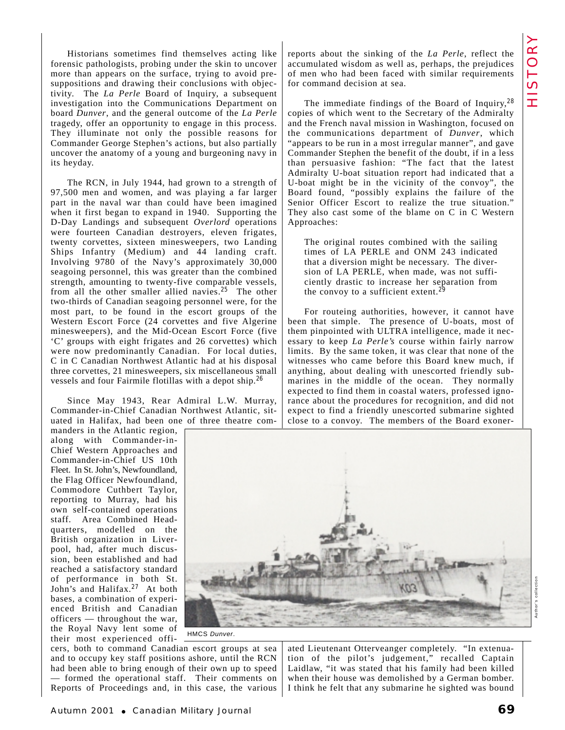Historians sometimes find themselves acting like forensic pathologists, probing under the skin to uncover more than appears on the surface, trying to avoid presuppositions and drawing their conclusions with objectivity. The *La Perle* Board of Inquiry, a subsequent investigation into the Communications Department on board *Dunver*, and the general outcome of the *La Perle* tragedy, offer an opportunity to engage in this process. They illuminate not only the possible reasons for Commander George Stephen's actions, but also partially uncover the anatomy of a young and burgeoning navy in its heyday.

The RCN, in July 1944, had grown to a strength of 97,500 men and women, and was playing a far larger part in the naval war than could have been imagined when it first began to expand in 1940. Supporting the D-Day Landings and subsequent *Overlord* operations were fourteen Canadian destroyers, eleven frigates, twenty corvettes, sixteen minesweepers, two Landing Ships Infantry (Medium) and 44 landing craft. Involving 9780 of the Navy's approximately 30,000 seagoing personnel, this was greater than the combined strength, amounting to twenty-five comparable vessels, from all the other smaller allied navies.<sup>25</sup> The other two-thirds of Canadian seagoing personnel were, for the most part, to be found in the escort groups of the Western Escort Force (24 corvettes and five Algerine minesweepers), and the Mid-Ocean Escort Force (five 'C' groups with eight frigates and 26 corvettes) which were now predominantly Canadian. For local duties, C in C Canadian Northwest Atlantic had at his disposal three corvettes, 21 minesweepers, six miscellaneous small vessels and four Fairmile flotillas with a depot ship.<sup>26</sup>

Since May 1943, Rear Admiral L.W. Murray, Commander-in-Chief Canadian Northwest Atlantic, situated in Halifax, had been one of three theatre com-

manders in the Atlantic region, along with Commander-in-Chief Western Approaches and Commander-in-Chief US 10th Fleet. In St. John's, Newfoundland, the Flag Officer Newfoundland, Commodore Cuthbert Taylor, reporting to Murray, had his own self-contained operations staff. Area Combined Headquarters, modelled on the British organization in Liverpool, had, after much discussion, been established and had reached a satisfactory standard of performance in both St. John's and Halifax.<sup>27</sup> At both bases, a combination of experienced British and Canadian officers — throughout the war, the Royal Navy lent some of their most experienced offireports about the sinking of the *La Perle*, reflect the accumulated wisdom as well as, perhaps, the prejudices of men who had been faced with similar requirements for command decision at sea.

The immediate findings of the Board of Inquiry,<sup>28</sup> copies of which went to the Secretary of the Admiralty and the French naval mission in Washington, focused on the communications department of *Dunver*, which "appears to be run in a most irregular manner", and gave Commander Stephen the benefit of the doubt, if in a less than persuasive fashion: "The fact that the latest Admiralty U-boat situation report had indicated that a U-boat might be in the vicinity of the convoy", the Board found, "possibly explains the failure of the Senior Officer Escort to realize the true situation." They also cast some of the blame on C in C Western Approaches:

The original routes combined with the sailing times of LA PERLE and ONM 243 indicated that a diversion might be necessary. The diversion of LA PERLE, when made, was not sufficiently drastic to increase her separation from the convoy to a sufficient extent.<sup>29</sup>

For routeing authorities, however, it cannot have been that simple. The presence of U-boats, most of them pinpointed with ULTRA intelligence, made it necessary to keep *La Perle's* course within fairly narrow limits. By the same token, it was clear that none of the witnesses who came before this Board knew much, if anything, about dealing with unescorted friendly submarines in the middle of the ocean. They normally expected to find them in coastal waters, professed ignorance about the procedures for recognition, and did not expect to find a friendly unescorted submarine sighted close to a convoy. The members of the Board exoner-



HMCS Dunver.

cers, both to command Canadian escort groups at sea and to occupy key staff positions ashore, until the RCN had been able to bring enough of their own up to speed — formed the operational staff. Their comments on Reports of Proceedings and, in this case, the various

ated Lieutenant Otterveanger completely. "In extenuation of the pilot's judgement," recalled Captain Laidlaw, "it was stated that his family had been killed when their house was demolished by a German bomber. I think he felt that any submarine he sighted was bound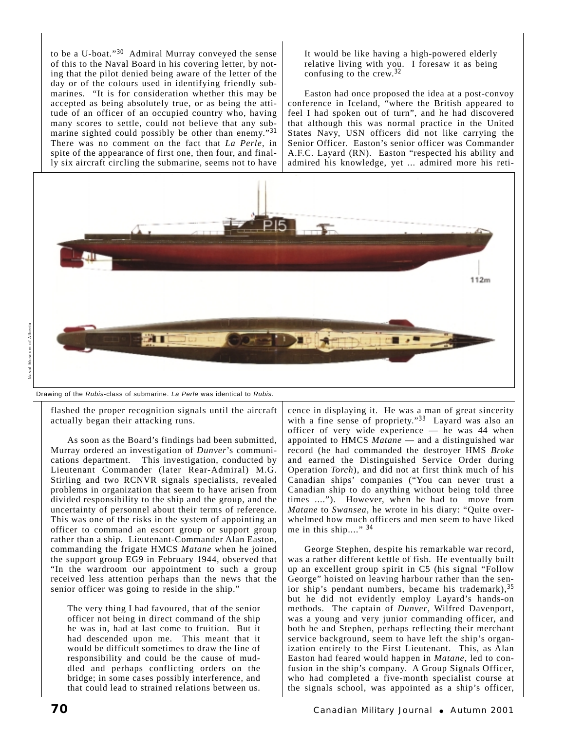to be a U-boat."<sup>30</sup> Admiral Murray conveyed the sense of this to the Naval Board in his covering letter, by noting that the pilot denied being aware of the letter of the day or of the colours used in identifying friendly submarines. "It is for consideration whether this may be accepted as being absolutely true, or as being the attitude of an officer of an occupied country who, having many scores to settle, could not believe that any submarine sighted could possibly be other than enemy."<sup>31</sup> There was no comment on the fact that *La Perle*, in spite of the appearance of first one, then four, and finally six aircraft circling the submarine, seems not to have

It would be like having a high-powered elderly relative living with you. I foresaw it as being confusing to the crew.<sup>32</sup>

Easton had once proposed the idea at a post-convoy conference in Iceland, "where the British appeared to feel I had spoken out of turn", and he had discovered that although this was normal practice in the United States Navy, USN officers did not like carrying the Senior Officer. Easton's senior officer was Commander A.F.C. Layard (RN). Easton "respected his ability and admired his knowledge, yet ... admired more his reti-



Drawing of the Rubis-class of submarine. La Perle was identical to Rubis.

flashed the proper recognition signals until the aircraft actually began their attacking runs.

As soon as the Board's findings had been submitted, Murray ordered an investigation of *Dunver*'s communications department. This investigation, conducted by Lieutenant Commander (later Rear-Admiral) M.G. Stirling and two RCNVR signals specialists, revealed problems in organization that seem to have arisen from divided responsibility to the ship and the group, and the uncertainty of personnel about their terms of reference. This was one of the risks in the system of appointing an officer to command an escort group or support group rather than a ship. Lieutenant-Commander Alan Easton, commanding the frigate HMCS *Matane* when he joined the support group EG9 in February 1944, observed that "In the wardroom our appointment to such a group received less attention perhaps than the news that the senior officer was going to reside in the ship."

The very thing I had favoured, that of the senior officer not being in direct command of the ship he was in, had at last come to fruition. But it had descended upon me. This meant that it would be difficult sometimes to draw the line of responsibility and could be the cause of muddled and perhaps conflicting orders on the bridge; in some cases possibly interference, and that could lead to strained relations between us.

cence in displaying it. He was a man of great sincerity with a fine sense of propriety."<sup>33</sup> Layard was also an officer of very wide experience — he was 44 when appointed to HMCS *Matane* — and a distinguished war record (he had commanded the destroyer HMS *Broke* and earned the Distinguished Service Order during Operation *Torch*), and did not at first think much of his Canadian ships' companies ("You can never trust a Canadian ship to do anything without being told three times ...."). However, when he had to move from *Matane* to *Swansea,* he wrote in his diary: "Quite overwhelmed how much officers and men seem to have liked me in this ship...." <sup>34</sup>

George Stephen, despite his remarkable war record, was a rather different kettle of fish. He eventually built up an excellent group spirit in C5 (his signal "Follow George" hoisted on leaving harbour rather than the senior ship's pendant numbers, became his trademark), 35 but he did not evidently employ Layard's hands-on methods. The captain of *Dunver*, Wilfred Davenport, was a young and very junior commanding officer, and both he and Stephen, perhaps reflecting their merchant service background, seem to have left the ship's organization entirely to the First Lieutenant. This, as Alan Easton had feared would happen in *Matane*, led to confusion in the ship's company. A Group Signals Officer, who had completed a five-month specialist course at the signals school, was appointed as a ship's officer,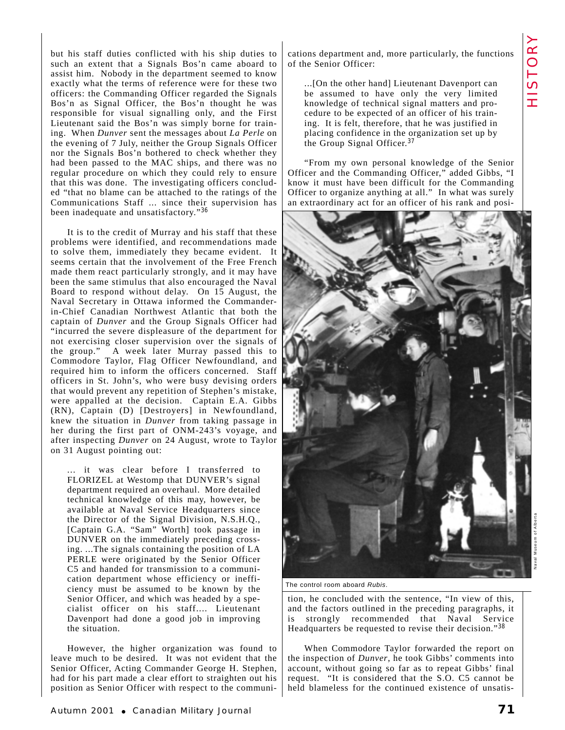but his staff duties conflicted with his ship duties to such an extent that a Signals Bos'n came aboard to assist him. Nobody in the department seemed to know exactly what the terms of reference were for these two officers: the Commanding Officer regarded the Signals Bos'n as Signal Officer, the Bos'n thought he was responsible for visual signalling only, and the First Lieutenant said the Bos'n was simply borne for training. When *Dunver* sent the messages about *La Perle* on the evening of 7 July, neither the Group Signals Officer nor the Signals Bos'n bothered to check whether they had been passed to the MAC ships, and there was no regular procedure on which they could rely to ensure that this was done. The investigating officers concluded "that no blame can be attached to the ratings of the Communications Staff ... since their supervision has been inadequate and unsatisfactory."<sup>36</sup>

It is to the credit of Murray and his staff that these problems were identified, and recommendations made to solve them, immediately they became evident. It seems certain that the involvement of the Free French made them react particularly strongly, and it may have been the same stimulus that also encouraged the Naval Board to respond without delay. On 15 August, the Naval Secretary in Ottawa informed the Commanderin-Chief Canadian Northwest Atlantic that both the captain of *Dunver* and the Group Signals Officer had "incurred the severe displeasure of the department for not exercising closer supervision over the signals of the group." A week later Murray passed this to Commodore Taylor, Flag Officer Newfoundland, and required him to inform the officers concerned. Staff officers in St. John's, who were busy devising orders that would prevent any repetition of Stephen's mistake, were appalled at the decision. Captain E.A. Gibbs (RN), Captain (D) [Destroyers] in Newfoundland, knew the situation in *Dunver* from taking passage in her during the first part of ONM-243's voyage, and after inspecting *Dunver* on 24 August, wrote to Taylor on 31 August pointing out:

... it was clear before I transferred to FLORIZEL at Westomp that DUNVER's signal department required an overhaul. More detailed technical knowledge of this may, however, be available at Naval Service Headquarters since the Director of the Signal Division, N.S.H.Q., [Captain G.A. "Sam" Worth] took passage in DUNVER on the immediately preceding crossing. ...The signals containing the position of LA PERLE were originated by the Senior Officer C5 and handed for transmission to a communication department whose efficiency or inefficiency must be assumed to be known by the Senior Officer, and which was headed by a specialist officer on his staff.... Lieutenant Davenport had done a good job in improving the situation.

However, the higher organization was found to leave much to be desired. It was not evident that the Senior Officer, Acting Commander George H. Stephen, had for his part made a clear effort to straighten out his position as Senior Officer with respect to the communi-

cations department and, more particularly, the functions of the Senior Officer:

...[On the other hand] Lieutenant Davenport can be assumed to have only the very limited knowledge of technical signal matters and procedure to be expected of an officer of his training. It is felt, therefore, that he was justified in placing confidence in the organization set up by the Group Signal Officer.<sup>37</sup>

"From my own personal knowledge of the Senior Officer and the Commanding Officer," added Gibbs, "I know it must have been difficult for the Commanding Officer to organize anything at all." In what was surely an extraordinary act for an officer of his rank and posi-



The control room aboard Rubis.

tion, he concluded with the sentence, "In view of this, and the factors outlined in the preceding paragraphs, it is strongly recommended that Naval Service Headquarters be requested to revise their decision."<sup>38</sup>

When Commodore Taylor forwarded the report on the inspection of *Dunver*, he took Gibbs' comments into account, without going so far as to repeat Gibbs' final request. "It is considered that the S.O. C5 cannot be held blameless for the continued existence of unsatisNaval Museum of Alberta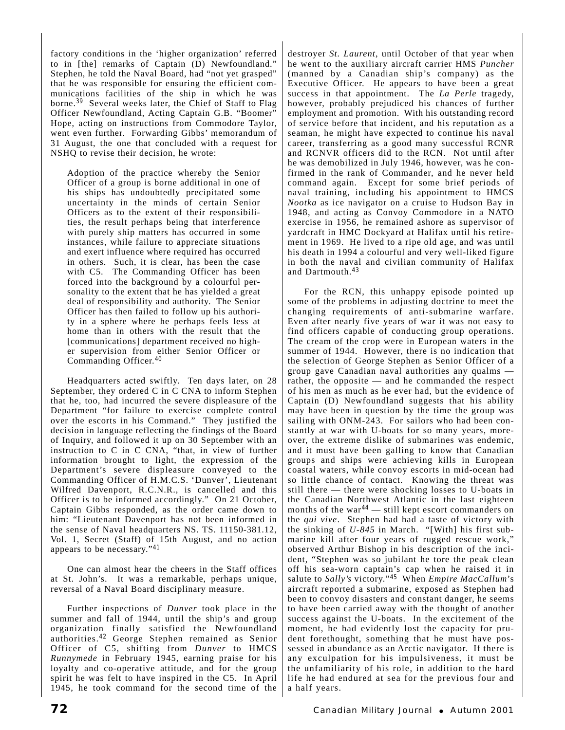factory conditions in the 'higher organization' referred to in [the] remarks of Captain (D) Newfoundland." Stephen, he told the Naval Board, had "not yet grasped" that he was responsible for ensuring the efficient communications facilities of the ship in which he was borne.<sup>39</sup> Several weeks later, the Chief of Staff to Flag Officer Newfoundland, Acting Captain G.B. "Boomer" Hope, acting on instructions from Commodore Taylor, went even further. Forwarding Gibbs' memorandum of 31 August, the one that concluded with a request for NSHQ to revise their decision, he wrote:

Adoption of the practice whereby the Senior Officer of a group is borne additional in one of his ships has undoubtedly precipitated some uncertainty in the minds of certain Senior Officers as to the extent of their responsibilities, the result perhaps being that interference with purely ship matters has occurred in some instances, while failure to appreciate situations and exert influence where required has occurred in others. Such, it is clear, has been the case with C5. The Commanding Officer has been forced into the background by a colourful personality to the extent that he has yielded a great deal of responsibility and authority. The Senior Officer has then failed to follow up his authority in a sphere where he perhaps feels less at home than in others with the result that the [communications] department received no higher supervision from either Senior Officer or Commanding Officer.<sup>40</sup>

Headquarters acted swiftly. Ten days later, on 28 September, they ordered C in C CNA to inform Stephen that he, too, had incurred the severe displeasure of the Department "for failure to exercise complete control over the escorts in his Command." They justified the decision in language reflecting the findings of the Board of Inquiry, and followed it up on 30 September with an instruction to C in C CNA, "that, in view of further information brought to light, the expression of the Department's severe displeasure conveyed to the Commanding Officer of H.M.C.S. 'Dunver', Lieutenant Wilfred Davenport, R.C.N.R., is cancelled and this Officer is to be informed accordingly." On 21 October, Captain Gibbs responded, as the order came down to him: "Lieutenant Davenport has not been informed in the sense of Naval headquarters NS. TS. 11150-381.12, Vol. 1, Secret (Staff) of 15th August, and no action appears to be necessary."<sup>41</sup>

One can almost hear the cheers in the Staff offices at St. John's. It was a remarkable, perhaps unique, reversal of a Naval Board disciplinary measure.

Further inspections of *Dunver* took place in the summer and fall of 1944, until the ship's and group organization finally satisfied the Newfoundland authorities.<sup>42</sup> George Stephen remained as Senior Officer of C5, shifting from *Dunver* to HMCS *Runnymede* in February 1945, earning praise for his loyalty and co-operative attitude, and for the group spirit he was felt to have inspired in the C5. In April 1945, he took command for the second time of the

destroyer *St. Laurent*, until October of that year when he went to the auxiliary aircraft carrier HMS *Puncher* (manned by a Canadian ship's company) as the Executive Officer. He appears to have been a great success in that appointment. The *La Perle* tragedy, however, probably prejudiced his chances of further employment and promotion. With his outstanding record of service before that incident, and his reputation as a seaman, he might have expected to continue his naval career, transferring as a good many successful RCNR and RCNVR officers did to the RCN. Not until after he was demobilized in July 1946, however, was he confirmed in the rank of Commander, and he never held command again. Except for some brief periods of naval training, including his appointment to HMCS *Nootka* as ice navigator on a cruise to Hudson Bay in 1948, and acting as Convoy Commodore in a NATO exercise in 1956, he remained ashore as supervisor of yardcraft in HMC Dockyard at Halifax until his retirement in 1969. He lived to a ripe old age, and was until his death in 1994 a colourful and very well-liked figure in both the naval and civilian community of Halifax and Dartmouth.<sup>43</sup>

For the RCN, this unhappy episode pointed up some of the problems in adjusting doctrine to meet the changing requirements of anti-submarine warfare. Even after nearly five years of war it was not easy to find officers capable of conducting group operations. The cream of the crop were in European waters in the summer of 1944. However, there is no indication that the selection of George Stephen as Senior Officer of a group gave Canadian naval authorities any qualms rather, the opposite — and he commanded the respect of his men as much as he ever had, but the evidence of Captain (D) Newfoundland suggests that his ability may have been in question by the time the group was sailing with ONM-243. For sailors who had been constantly at war with U-boats for so many years, moreover, the extreme dislike of submarines was endemic, and it must have been galling to know that Canadian groups and ships were achieving kills in European coastal waters, while convoy escorts in mid-ocean had so little chance of contact. Knowing the threat was still there — there were shocking losses to U-boats in the Canadian Northwest Atlantic in the last eighteen months of the war<sup>44</sup> — still kept escort commanders on the *qui vive*. Stephen had had a taste of victory with the sinking of *U-845* in March. "[With] his first submarine kill after four years of rugged rescue work," observed Arthur Bishop in his description of the incident, "Stephen was so jubilant he tore the peak clean off his sea-worn captain's cap when he raised it in salute to *Sally's* victory."<sup>45</sup> When *Empire MacCallum*'s aircraft reported a submarine, exposed as Stephen had been to convoy disasters and constant danger, he seems to have been carried away with the thought of another success against the U-boats. In the excitement of the moment, he had evidently lost the capacity for prudent forethought, something that he must have possessed in abundance as an Arctic navigator. If there is any exculpation for his impulsiveness, it must be the unfamiliarity of his role, in addition to the hard life he had endured at sea for the previous four and a half years.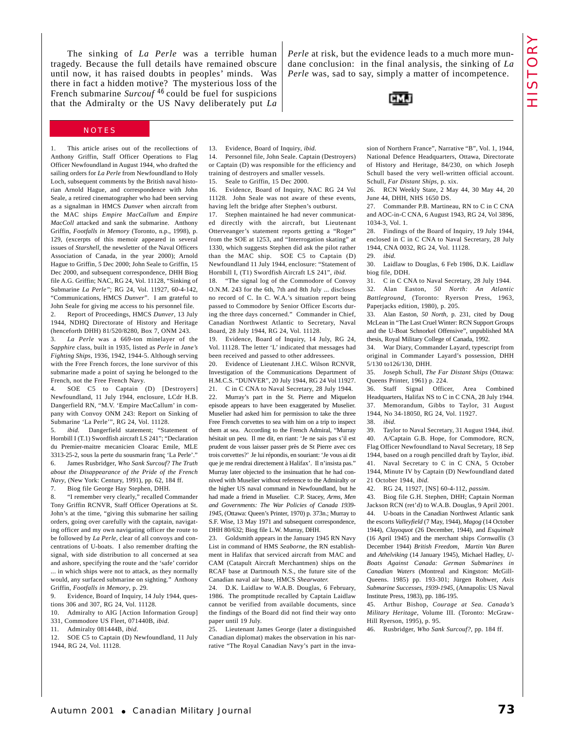The sinking of *La Perle* was a terrible human tragedy. Because the full details have remained obscure until now, it has raised doubts in peoples' minds. Was there in fact a hidden motive? The mysterious loss of the French submarine *Surcouf* <sup>46</sup> could be fuel for suspicions that the Admiralty or the US Navy deliberately put *La*

*Perle* at risk, but the evidence leads to a much more mundane conclusion: in the final analysis, the sinking of *La Perle* was, sad to say, simply a matter of incompetence.



## **NOTES**

1. This article arises out of the recollections of Anthony Griffin, Staff Officer Operations to Flag Officer Newfoundland in August 1944, who drafted the sailing orders for *La Perle* from Newfoundland to Holy Loch, subsequent comments by the British naval historian Arnold Hague, and correspondence with John Seale, a retired cinematographer who had been serving as a signalman in HMCS *Dunver* when aircraft from the MAC ships *Empire MacCallum* and *Empire MacColl* attacked and sank the submarine. Anthony Griffin, *Footfalls in Memory* (Toronto, n.p., 1998), p. 129, (excerpts of this memoir appeared in several issues of *Starshell*, the newsletter of the Naval Officers Association of Canada, in the year 2000); Arnold Hague to Griffin, 5 Dec 2000; John Seale to Griffin, 15 Dec 2000, and subsequent correspondence, DHH Biog file A.G. Griffin; NAC, RG 24, Vol. 11128, "Sinking of Submarine *La Perle"*; RG 24, Vol. 11927, 60-4-142, "Communications, HMCS *Dunver*". I am grateful to John Seale for giving me access to his personnel file. 2. Report of Proceedings, HMCS *Dunver*, 13 July 1944, NDHQ Directorate of History and Heritage (henceforth DHH) 81/520/8280, Box 7, ONM 243.

3. *La Perle* was a 669-ton minelayer of the *Sapphire* class, built in 1935, listed as *Perle* in *Jane's Fighting Ships*, 1936, 1942, 1944-5. Although serving with the Free French forces, the lone survivor of this submarine made a point of saying he belonged to the French, not the Free French Navy.

SOE C5 to Captain (D) [Destroyers] Newfoundland, 11 July 1944, enclosure, LCdr H.B. Dangerfield RN, "M.V. 'Empire MacCallum' in company with Convoy ONM 243: Report on Sinking of Submarine 'La Perle'", RG 24, Vol. 11128.

ibid. Dangerfield statement; "Statement of Hornbill I (T.1) Swordfish aircraft LS 241"; "Declaration du Premier-maitre mecanicien Cloarac Emile, MLE 3313-25-2, sous la perte du sousmarin franç 'La Perle'." 6. James Rusbridger, *Who Sank Surcouf? The Truth about the Disappearance of the Pride of the French Navy*, (New York: Century, 1991), pp. 62, 184 ff.

7. Biog file George Hay Stephen, DHH.

8. "I remember very clearly," recalled Commander Tony Griffin RCNVR, Staff Officer Operations at St. John's at the time, "giving this submarine her sailing orders, going over carefully with the captain, navigating officer and my own navigating officer the route to be followed by *La Perle*, clear of all convoys and concentrations of U-boats. I also remember drafting the signal, with side distribution to all concerned at sea and ashore, specifying the route and the 'safe' corridor ... in which ships were not to attack, as they normally would, any surfaced submarine on sighting." Anthony Griffin, *Footfalls in Memory*, p. 29.

9. Evidence, Board of Inquiry, 14 July 1944, questions 306 and 307, RG 24, Vol. 11128.

10. Admiralty to AIG [Action Information Group] 331, Commodore US Fleet, 071440B, *ibid*.

11. Admiralty 081444B, *ibid*.

12. SOE C5 to Captain (D) Newfoundland, 11 July 1944, RG 24, Vol. 11128.

13. Evidence, Board of Inquiry, *ibid.*

14. Personnel file, John Seale. Captain (Destroyers) or Captain (D) was responsible for the efficiency and training of destroyers and smaller vessels.

15. Seale to Griffin, 15 Dec 2000.

16. Evidence, Board of Inquiry, NAC RG 24 Vol 11128. John Seale was not aware of these events, having left the bridge after Stephen's outburst.

17. Stephen maintained he had never communicated directly with the aircraft, but Lieutenant Otterveanger's statement reports getting a "Roger" from the SOE at 1253, and "Interrogation skating" at 1330, which suggests Stephen did ask the pilot rather than the MAC ship. SOE C5 to Captain (D) Newfoundland 11 July 1944, enclosure: "Statement of Hornbill I, (T1) Swordfish Aircraft LS 241", *ibid*.

18. "The signal log of the Commodore of Convoy O.N.M. 243 for the 6th, 7th and 8th July ... discloses no record of C. In C. W.A.'s situation report being passed to Commodore by Senior Officer Escorts during the three days concerned." Commander in Chief, Canadian Northwest Atlantic to Secretary, Naval Board, 28 July 1944, RG 24, Vol. 11128.

19. Evidence, Board of Inquiry, 14 July, RG 24, Vol. 11128. The letter 'L' indicated that messages had been received and passed to other addressees.

20. Evidence of Lieutenant J.H.C. Wilson RCNVR, Investigation of the Communications Department of H.M.C.S. "DUNVER", 20 July 1944, RG 24 Vol 11927.

21. C in C CNA to Naval Secretary, 28 July 1944. 22. Murray's part in the St. Pierre and Miquelon episode appears to have been exaggerated by Muselier. Muselier had asked him for permission to take the three Free French corvettes to sea with him on a trip to inspect them at sea. According to the French Admiral, "Murray hésitait un peu. Il me dit, en riant: 'Je ne sais pas s'il est prudent de vous laisser passer près de St Pierre avec ces trois corvettes?' Je lui répondis, en souriant: 'Je vous ai dit que je me rendrai directement à Halifax'. Il n'insista pas." Murray later objected to the insinuation that he had connived with Muselier without reference to the Admiralty or the higher US naval command in Newfoundland, but he had made a friend in Muselier. C.P. Stacey, *Arms, Men and Governments: The War Policies of Canada 1939- 1945*, (Ottawa: Queen's Printer, 1970) p. 373n.; Murray to S.F. Wise, 13 May 1971 and subsequent correspondence, DHH 80/632; Biog file L.W. Murray, DHH.

23. Goldsmith appears in the January 1945 RN Navy List in command of HMS *Seaborne*, the RN establishment in Halifax that serviced aircraft from MAC and CAM (Catapult Aircraft Merchantmen) ships on the RCAF base at Dartmouth N.S., the future site of the Canadian naval air base, HMCS *Shearwater.*

24. D.K. Laidlaw to W.A.B. Douglas, 6 February, 1986. The promptitude recalled by Captain Laidlaw cannot be verified from available documents, since the findings of the Board did not find their way onto paper until 19 July.

25. Lieutenant James George (later a distinguished Canadian diplomat) makes the observation in his narrative "The Royal Canadian Navy's part in the invasion of Northern France", Narrative "B", Vol. 1, 1944, National Defence Headquarters, Ottawa, Directorate of History and Heritage, 84/230, on which Joseph Schull based the very well-written official account. Schull, *Far Distant Ships*, p. xix.

26. RCN Weekly State, 2 May 44, 30 May 44, 20 June 44, DHH, NHS 1650 DS.

27. Commander P.B. Martineau, RN to C in C CNA and AOC-in-C CNA, 6 August 1943, RG 24, Vol 3896, 1034-3, Vol. 1.

28. Findings of the Board of Inquiry, 19 July 1944, enclosed in C in C CNA to Naval Secretary, 28 July 1944, CNA 0032, RG 24, Vol. 11128. 29. *ibid.*

30. Laidlaw to Douglas, 6 Feb 1986, D.K. Laidlaw biog file, DDH.

31. C in C CNA to Naval Secretary, 28 July 1944. 32. Alan Easton, *50 North: An Atlantic Battleground*, (Toronto: Ryerson Press, 1963, Paperjacks edition, 1980), p. 205.

33. Alan Easton, *50 North*, p. 231, cited by Doug McLean in "The Last Cruel Winter: RCN Support Groups and the U-Boat Schnorkel Offensive", unpublished MA thesis, Royal Military College of Canada, 1992.

34. War Diary, Commander Layard, typescript from original in Commander Layard's possession, DHH 5/130 to126/130, DHH.

35. Joseph Schull, *The Far Distant Ships* (Ottawa: Queens Printer, 1961) p. 224.

36. Staff Signal Officer, Area Combined Headquarters, Halifax NS to C in C CNA, 28 July 1944. 37. Memorandum, Gibbs to Taylor, 31 August 1944, No 34-18050, RG 24, Vol. 11927.

38. *ibid.*

39. Taylor to Naval Secretary, 31 August 1944, *ibid*. 40. A/Captain G.B. Hope, for Commodore, RCN, Flag Officer Newfoundland to Naval Secretary, 18 Sep 1944, based on a rough pencilled draft by Taylor, *ibid*. 41. Naval Secretary to C in C CNA, 5 October 1944, Minute IV by Captain (D) Newfoundland dated 21 October 1944, *ibid.*

42. RG 24, 11927, [NS] 60-4-112, *passim*.

43. Biog file G.H. Stephen, DHH; Captain Norman Jackson RCN (ret'd) to W.A.B. Douglas, 9 April 2001. 44. U-boats in the Canadian Northwest Atlantic sank the escorts *Valleyfield* (7 May, 1944), *Magog* (14 October 1944), *Clayoquot* (26 December, 1944), and *Esquimalt* (16 April 1945) and the merchant ships *Cornwallis* (3 December 1944) *British Freedom*, *Martin Van Buren* and *Athelviking* (14 January 1945), Michael Hadley, *U-Boats Against Canada: German Submarines in Canadian Waters* (Montreal and Kingston: McGill-Queens. 1985) pp. 193-301; Jürgen Rohwer, *Axis Submarine Successes, 1939-1945*, (Annapolis: US Naval Institute Press, 1983), pp. 186-195.

45. Arthur Bishop, *Courage at Sea. Canada's Military Heritage*, Volume III. (Toronto: McGraw-Hill Ryerson, 1995), p. 95.

46. Rusbridger, *Who Sank Surcouf?*, pp. 184 ff.